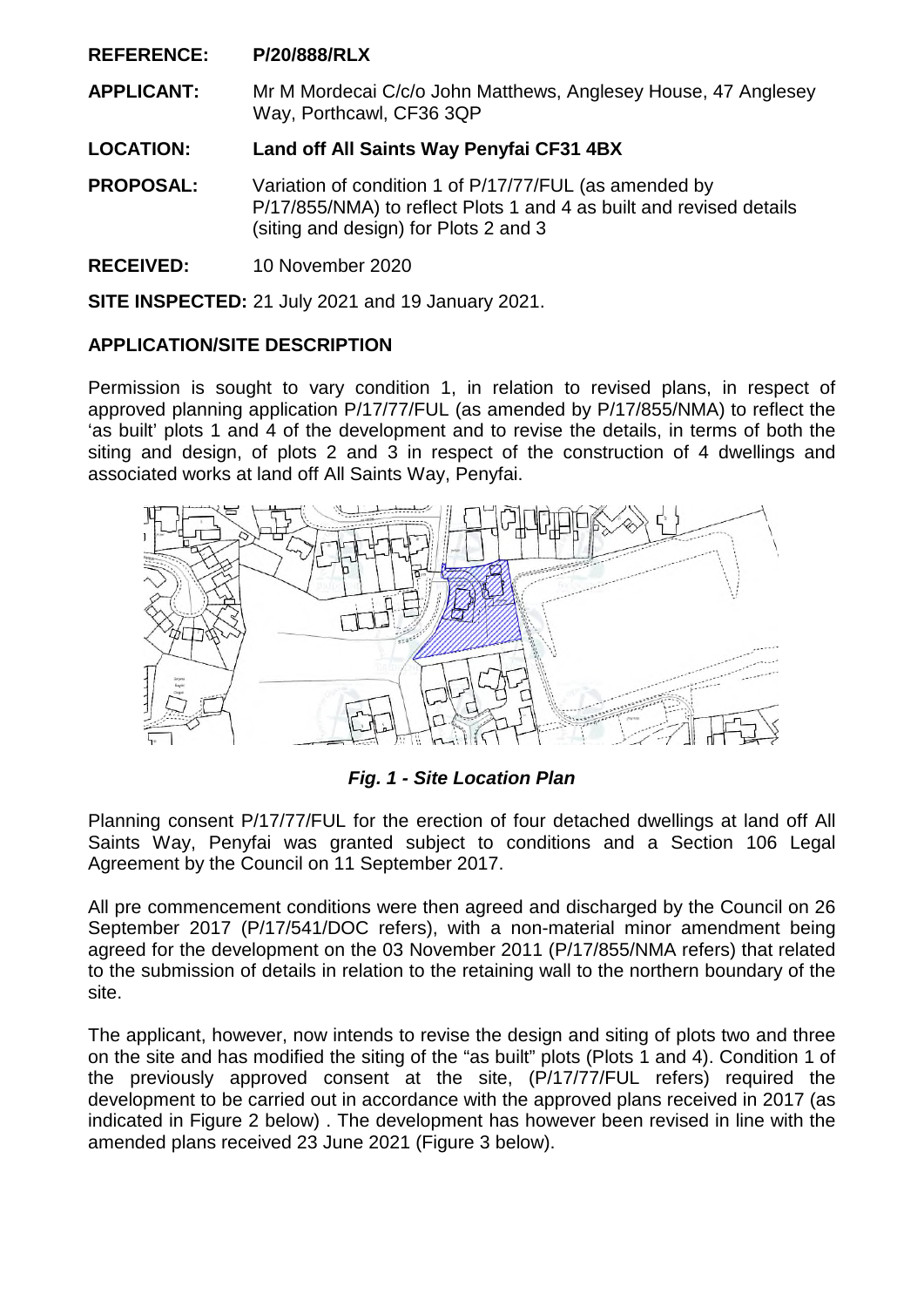**REFERENCE: P/20/888/RLX**

**APPLICANT:** Mr M Mordecai C/c/o John Matthews, Anglesey House, 47 Anglesey Way, Porthcawl, CF36 3QP

**LOCATION: Land off All Saints Way Penyfai CF31 4BX** 

**PROPOSAL:** Variation of condition 1 of P/17/77/FUL (as amended by P/17/855/NMA) to reflect Plots 1 and 4 as built and revised details (siting and design) for Plots 2 and 3

**RECEIVED:** 10 November 2020

**SITE INSPECTED:** 21 July 2021 and 19 January 2021.

# **APPLICATION/SITE DESCRIPTION**

Permission is sought to vary condition 1, in relation to revised plans, in respect of approved planning application P/17/77/FUL (as amended by P/17/855/NMA) to reflect the 'as built' plots 1 and 4 of the development and to revise the details, in terms of both the siting and design, of plots 2 and 3 in respect of the construction of 4 dwellings and associated works at land off All Saints Way, Penyfai.



*Fig. 1 - Site Location Plan* 

Planning consent P/17/77/FUL for the erection of four detached dwellings at land off All Saints Way, Penyfai was granted subject to conditions and a Section 106 Legal Agreement by the Council on 11 September 2017.

All pre commencement conditions were then agreed and discharged by the Council on 26 September 2017 (P/17/541/DOC refers), with a non-material minor amendment being agreed for the development on the 03 November 2011 (P/17/855/NMA refers) that related to the submission of details in relation to the retaining wall to the northern boundary of the site.

The applicant, however, now intends to revise the design and siting of plots two and three on the site and has modified the siting of the "as built" plots (Plots 1 and 4). Condition 1 of the previously approved consent at the site, (P/17/77/FUL refers) required the development to be carried out in accordance with the approved plans received in 2017 (as indicated in Figure 2 below) . The development has however been revised in line with the amended plans received 23 June 2021 (Figure 3 below).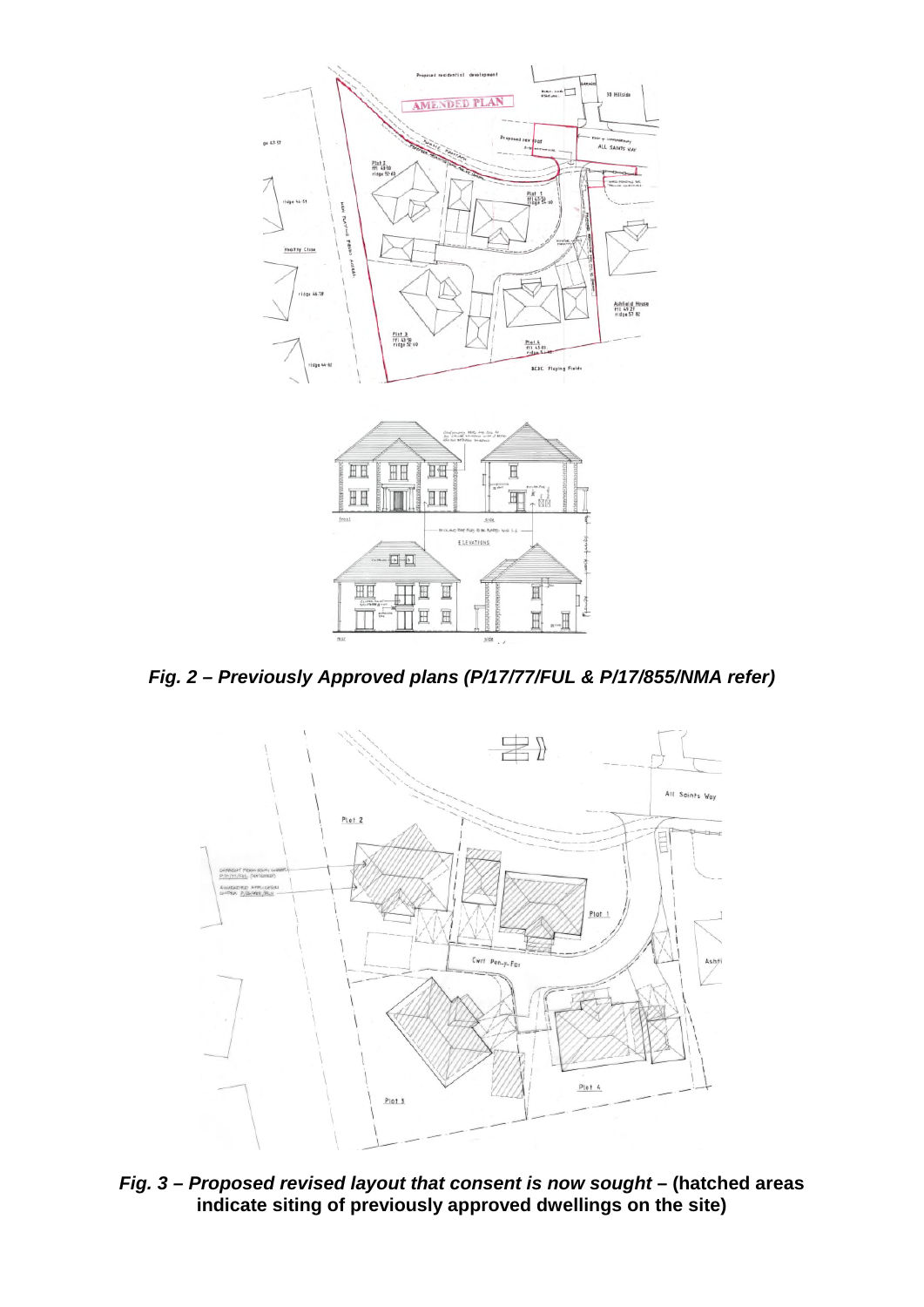

*Fig. 2 – Previously Approved plans (P/17/77/FUL & P/17/855/NMA refer)* 

I. F.



Fig. 3 - Proposed revised layout that consent is now sought - (hatched areas **indicate siting of previously approved dwellings on the site)**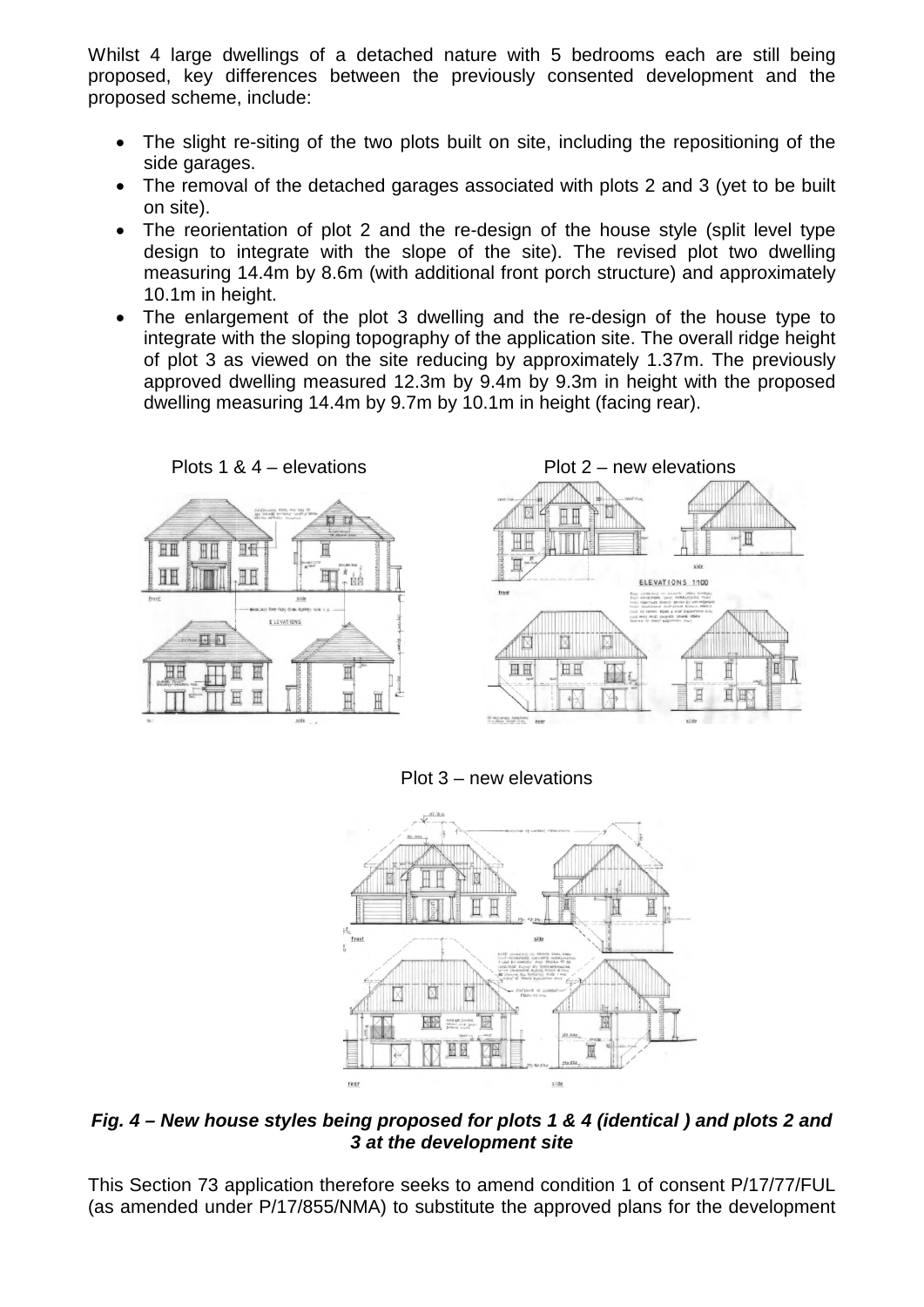Whilst 4 large dwellings of a detached nature with 5 bedrooms each are still being proposed, key differences between the previously consented development and the proposed scheme, include:

- The slight re-siting of the two plots built on site, including the repositioning of the side garages.
- The removal of the detached garages associated with plots 2 and 3 (yet to be built on site).
- The reorientation of plot 2 and the re-design of the house style (split level type design to integrate with the slope of the site). The revised plot two dwelling measuring 14.4m by 8.6m (with additional front porch structure) and approximately 10.1m in height.
- The enlargement of the plot 3 dwelling and the re-design of the house type to integrate with the sloping topography of the application site. The overall ridge height of plot 3 as viewed on the site reducing by approximately 1.37m. The previously approved dwelling measured 12.3m by 9.4m by 9.3m in height with the proposed dwelling measuring 14.4m by 9.7m by 10.1m in height (facing rear).









Plot 3 – new elevations



*Fig. 4 – New house styles being proposed for plots 1 & 4 (identical ) and plots 2 and 3 at the development site* 

This Section 73 application therefore seeks to amend condition 1 of consent P/17/77/FUL (as amended under P/17/855/NMA) to substitute the approved plans for the development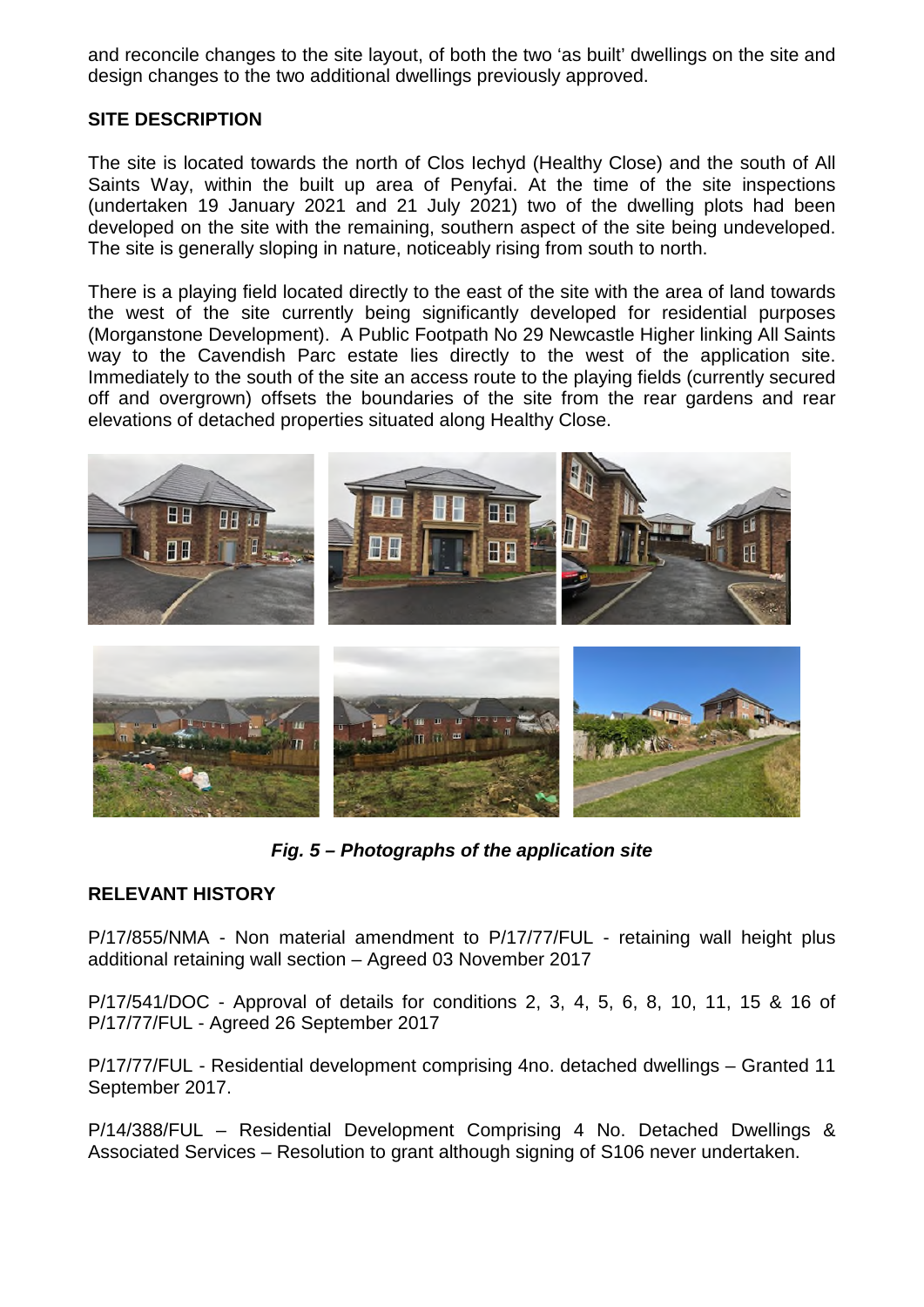and reconcile changes to the site layout, of both the two 'as built' dwellings on the site and design changes to the two additional dwellings previously approved.

## **SITE DESCRIPTION**

The site is located towards the north of Clos Iechyd (Healthy Close) and the south of All Saints Way, within the built up area of Penyfai. At the time of the site inspections (undertaken 19 January 2021 and 21 July 2021) two of the dwelling plots had been developed on the site with the remaining, southern aspect of the site being undeveloped. The site is generally sloping in nature, noticeably rising from south to north.

There is a playing field located directly to the east of the site with the area of land towards the west of the site currently being significantly developed for residential purposes (Morganstone Development). A Public Footpath No 29 Newcastle Higher linking All Saints way to the Cavendish Parc estate lies directly to the west of the application site. Immediately to the south of the site an access route to the playing fields (currently secured off and overgrown) offsets the boundaries of the site from the rear gardens and rear elevations of detached properties situated along Healthy Close.





*Fig. 5 – Photographs of the application site* 

# **RELEVANT HISTORY**

P/17/855/NMA - Non material amendment to P/17/77/FUL - retaining wall height plus additional retaining wall section – Agreed 03 November 2017

P/17/541/DOC - Approval of details for conditions 2, 3, 4, 5, 6, 8, 10, 11, 15 & 16 of P/17/77/FUL - Agreed 26 September 2017

P/17/77/FUL - Residential development comprising 4no. detached dwellings – Granted 11 September 2017.

P/14/388/FUL – Residential Development Comprising 4 No. Detached Dwellings & Associated Services – Resolution to grant although signing of S106 never undertaken.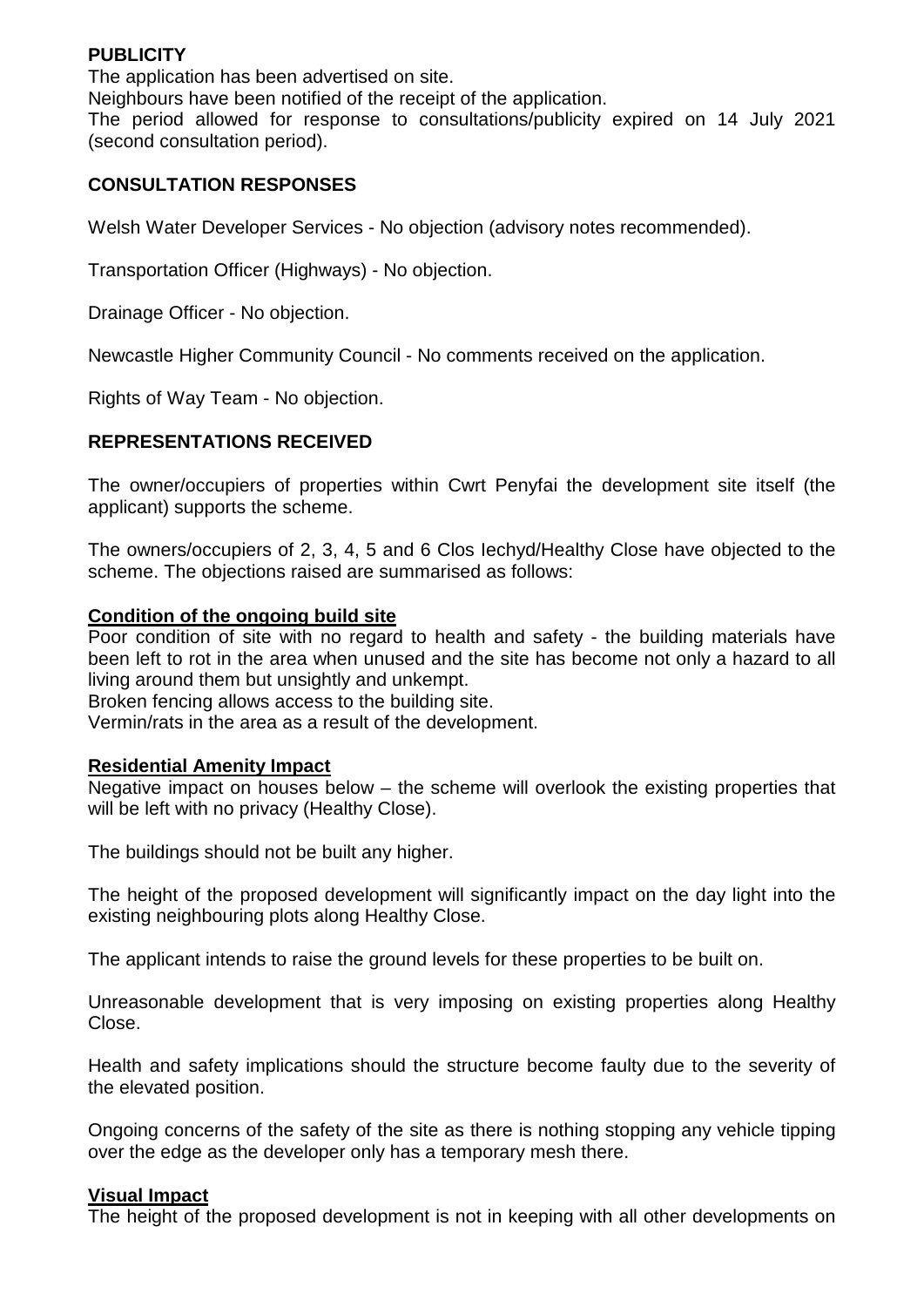### **PUBLICITY**

The application has been advertised on site. Neighbours have been notified of the receipt of the application. The period allowed for response to consultations/publicity expired on 14 July 2021 (second consultation period).

## **CONSULTATION RESPONSES**

Welsh Water Developer Services - No objection (advisory notes recommended).

Transportation Officer (Highways) - No objection.

Drainage Officer - No objection.

Newcastle Higher Community Council - No comments received on the application.

Rights of Way Team - No objection.

## **REPRESENTATIONS RECEIVED**

The owner/occupiers of properties within Cwrt Penyfai the development site itself (the applicant) supports the scheme.

The owners/occupiers of 2, 3, 4, 5 and 6 Clos Iechyd/Healthy Close have objected to the scheme. The objections raised are summarised as follows:

### **Condition of the ongoing build site**

Poor condition of site with no regard to health and safety - the building materials have been left to rot in the area when unused and the site has become not only a hazard to all living around them but unsightly and unkempt.

Broken fencing allows access to the building site.

Vermin/rats in the area as a result of the development.

## **Residential Amenity Impact**

Negative impact on houses below – the scheme will overlook the existing properties that will be left with no privacy (Healthy Close).

The buildings should not be built any higher.

The height of the proposed development will significantly impact on the day light into the existing neighbouring plots along Healthy Close.

The applicant intends to raise the ground levels for these properties to be built on.

Unreasonable development that is very imposing on existing properties along Healthy Close.

Health and safety implications should the structure become faulty due to the severity of the elevated position.

Ongoing concerns of the safety of the site as there is nothing stopping any vehicle tipping over the edge as the developer only has a temporary mesh there.

#### **Visual Impact**

The height of the proposed development is not in keeping with all other developments on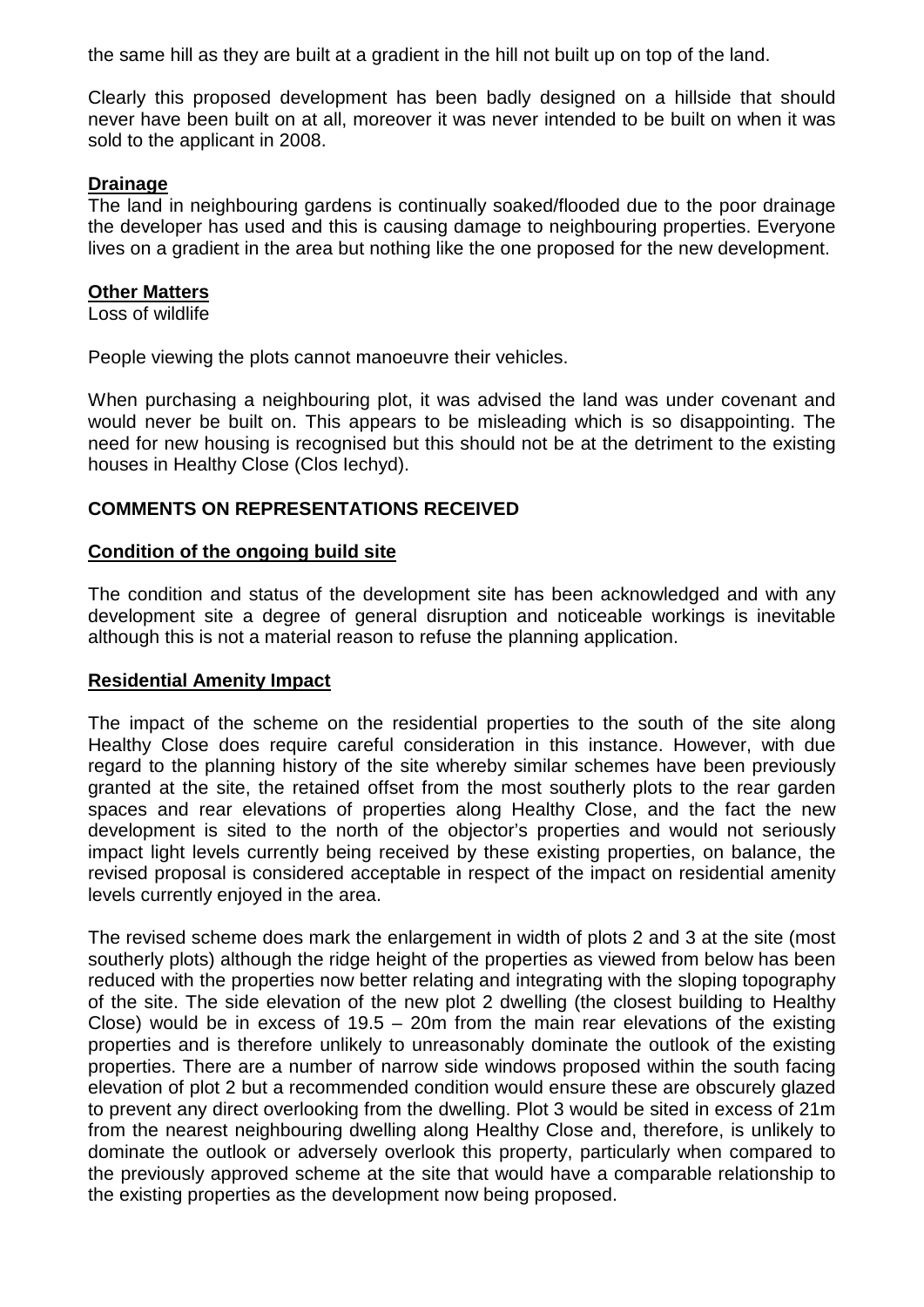the same hill as they are built at a gradient in the hill not built up on top of the land.

Clearly this proposed development has been badly designed on a hillside that should never have been built on at all, moreover it was never intended to be built on when it was sold to the applicant in 2008.

#### **Drainage**

The land in neighbouring gardens is continually soaked/flooded due to the poor drainage the developer has used and this is causing damage to neighbouring properties. Everyone lives on a gradient in the area but nothing like the one proposed for the new development.

### **Other Matters**

Loss of wildlife

People viewing the plots cannot manoeuvre their vehicles.

When purchasing a neighbouring plot, it was advised the land was under covenant and would never be built on. This appears to be misleading which is so disappointing. The need for new housing is recognised but this should not be at the detriment to the existing houses in Healthy Close (Clos Iechyd).

## **COMMENTS ON REPRESENTATIONS RECEIVED**

### **Condition of the ongoing build site**

The condition and status of the development site has been acknowledged and with any development site a degree of general disruption and noticeable workings is inevitable although this is not a material reason to refuse the planning application.

## **Residential Amenity Impact**

The impact of the scheme on the residential properties to the south of the site along Healthy Close does require careful consideration in this instance. However, with due regard to the planning history of the site whereby similar schemes have been previously granted at the site, the retained offset from the most southerly plots to the rear garden spaces and rear elevations of properties along Healthy Close, and the fact the new development is sited to the north of the objector's properties and would not seriously impact light levels currently being received by these existing properties, on balance, the revised proposal is considered acceptable in respect of the impact on residential amenity levels currently enjoyed in the area.

The revised scheme does mark the enlargement in width of plots 2 and 3 at the site (most southerly plots) although the ridge height of the properties as viewed from below has been reduced with the properties now better relating and integrating with the sloping topography of the site. The side elevation of the new plot 2 dwelling (the closest building to Healthy Close) would be in excess of  $19.5 - 20$ m from the main rear elevations of the existing properties and is therefore unlikely to unreasonably dominate the outlook of the existing properties. There are a number of narrow side windows proposed within the south facing elevation of plot 2 but a recommended condition would ensure these are obscurely glazed to prevent any direct overlooking from the dwelling. Plot 3 would be sited in excess of 21m from the nearest neighbouring dwelling along Healthy Close and, therefore, is unlikely to dominate the outlook or adversely overlook this property, particularly when compared to the previously approved scheme at the site that would have a comparable relationship to the existing properties as the development now being proposed.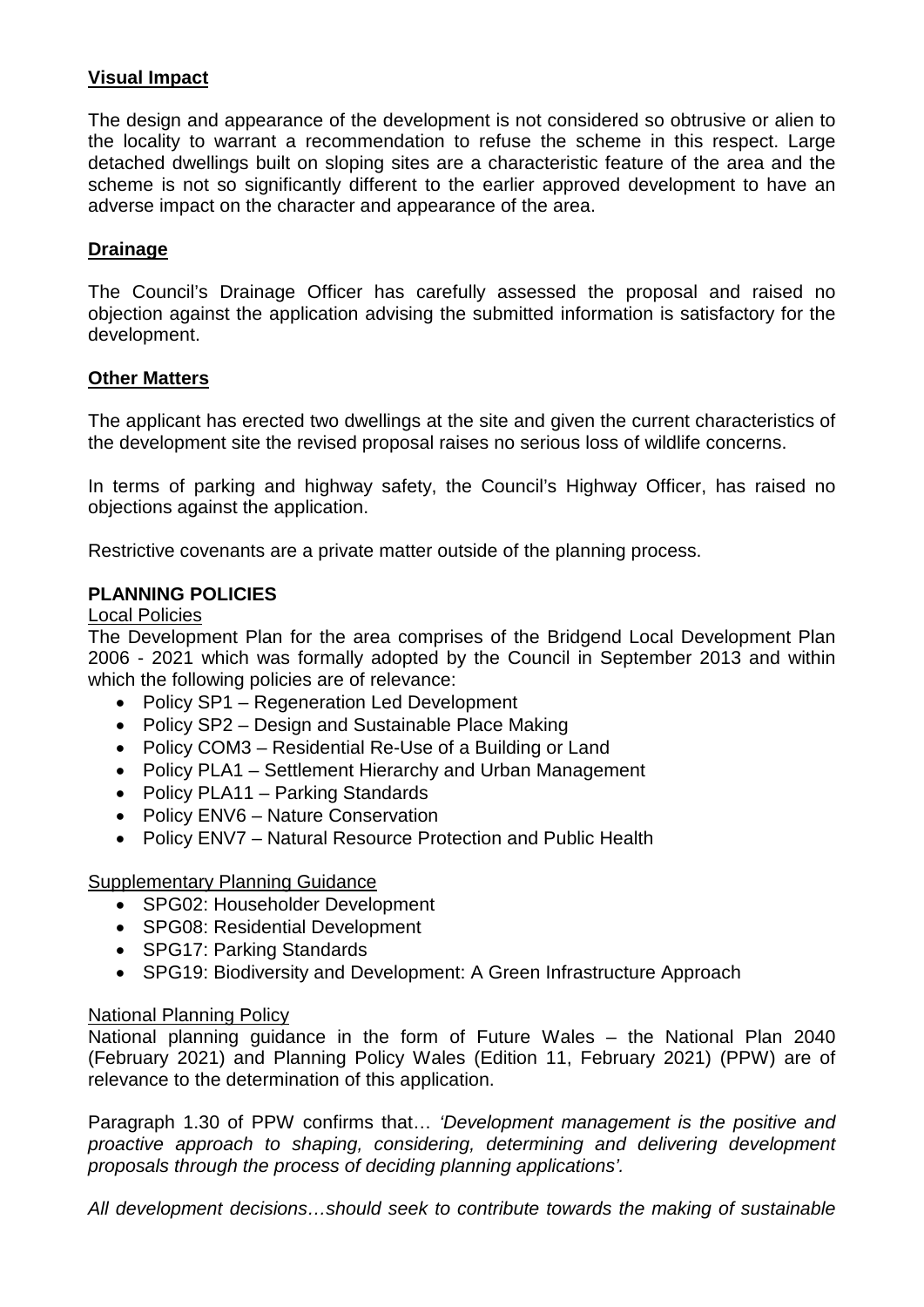# **Visual Impact**

The design and appearance of the development is not considered so obtrusive or alien to the locality to warrant a recommendation to refuse the scheme in this respect. Large detached dwellings built on sloping sites are a characteristic feature of the area and the scheme is not so significantly different to the earlier approved development to have an adverse impact on the character and appearance of the area.

## **Drainage**

The Council's Drainage Officer has carefully assessed the proposal and raised no objection against the application advising the submitted information is satisfactory for the development.

#### **Other Matters**

The applicant has erected two dwellings at the site and given the current characteristics of the development site the revised proposal raises no serious loss of wildlife concerns.

In terms of parking and highway safety, the Council's Highway Officer, has raised no objections against the application.

Restrictive covenants are a private matter outside of the planning process.

### **PLANNING POLICIES**

#### Local Policies

The Development Plan for the area comprises of the Bridgend Local Development Plan 2006 - 2021 which was formally adopted by the Council in September 2013 and within which the following policies are of relevance:

- Policy SP1 Regeneration Led Development
- Policy SP2 Design and Sustainable Place Making
- Policy COM3 Residential Re-Use of a Building or Land
- Policy PLA1 Settlement Hierarchy and Urban Management
- Policy PLA11 Parking Standards
- Policy ENV6 Nature Conservation
- Policy ENV7 Natural Resource Protection and Public Health

#### Supplementary Planning Guidance

- SPG02: Householder Development
- SPG08: Residential Development
- SPG17: Parking Standards
- SPG19: Biodiversity and Development: A Green Infrastructure Approach

#### National Planning Policy

National planning guidance in the form of Future Wales – the National Plan 2040 (February 2021) and Planning Policy Wales (Edition 11, February 2021) (PPW) are of relevance to the determination of this application.

Paragraph 1.30 of PPW confirms that… *'Development management is the positive and proactive approach to shaping, considering, determining and delivering development proposals through the process of deciding planning applications'.*

*All development decisions…should seek to contribute towards the making of sustainable*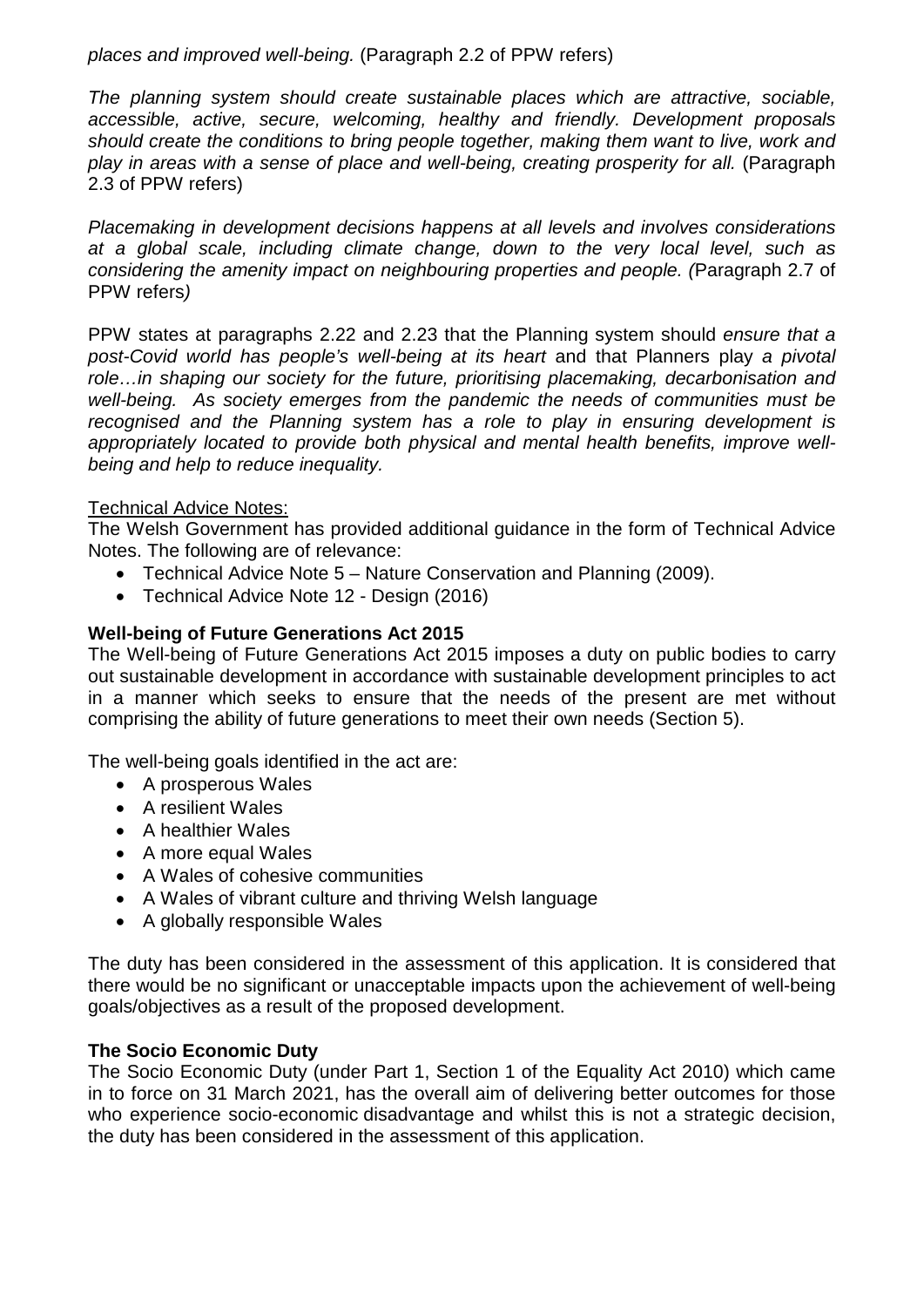*places and improved well-being.* (Paragraph 2.2 of PPW refers)

*The planning system should create sustainable places which are attractive, sociable, accessible, active, secure, welcoming, healthy and friendly. Development proposals should create the conditions to bring people together, making them want to live, work and play in areas with a sense of place and well-being, creating prosperity for all.* (Paragraph 2.3 of PPW refers)

*Placemaking in development decisions happens at all levels and involves considerations at a global scale, including climate change, down to the very local level, such as considering the amenity impact on neighbouring properties and people. (*Paragraph 2.7 of PPW refers*)* 

PPW states at paragraphs 2.22 and 2.23 that the Planning system should *ensure that a post-Covid world has people's well-being at its heart* and that Planners play *a pivotal role…in shaping our society for the future, prioritising placemaking, decarbonisation and well-being. As society emerges from the pandemic the needs of communities must be recognised and the Planning system has a role to play in ensuring development is appropriately located to provide both physical and mental health benefits, improve wellbeing and help to reduce inequality.* 

## Technical Advice Notes:

The Welsh Government has provided additional guidance in the form of Technical Advice Notes. The following are of relevance:

- Technical Advice Note 5 Nature Conservation and Planning (2009).
- Technical Advice Note 12 Design (2016)

# **Well-being of Future Generations Act 2015**

The Well-being of Future Generations Act 2015 imposes a duty on public bodies to carry out sustainable development in accordance with sustainable development principles to act in a manner which seeks to ensure that the needs of the present are met without comprising the ability of future generations to meet their own needs (Section 5).

The well-being goals identified in the act are:

- A prosperous Wales
- A resilient Wales
- A healthier Wales
- A more equal Wales
- A Wales of cohesive communities
- A Wales of vibrant culture and thriving Welsh language
- A globally responsible Wales

The duty has been considered in the assessment of this application. It is considered that there would be no significant or unacceptable impacts upon the achievement of well-being goals/objectives as a result of the proposed development.

## **The Socio Economic Duty**

The Socio Economic Duty (under Part 1, Section 1 of the Equality Act 2010) which came in to force on 31 March 2021, has the overall aim of delivering better outcomes for those who experience socio-economic disadvantage and whilst this is not a strategic decision, the duty has been considered in the assessment of this application.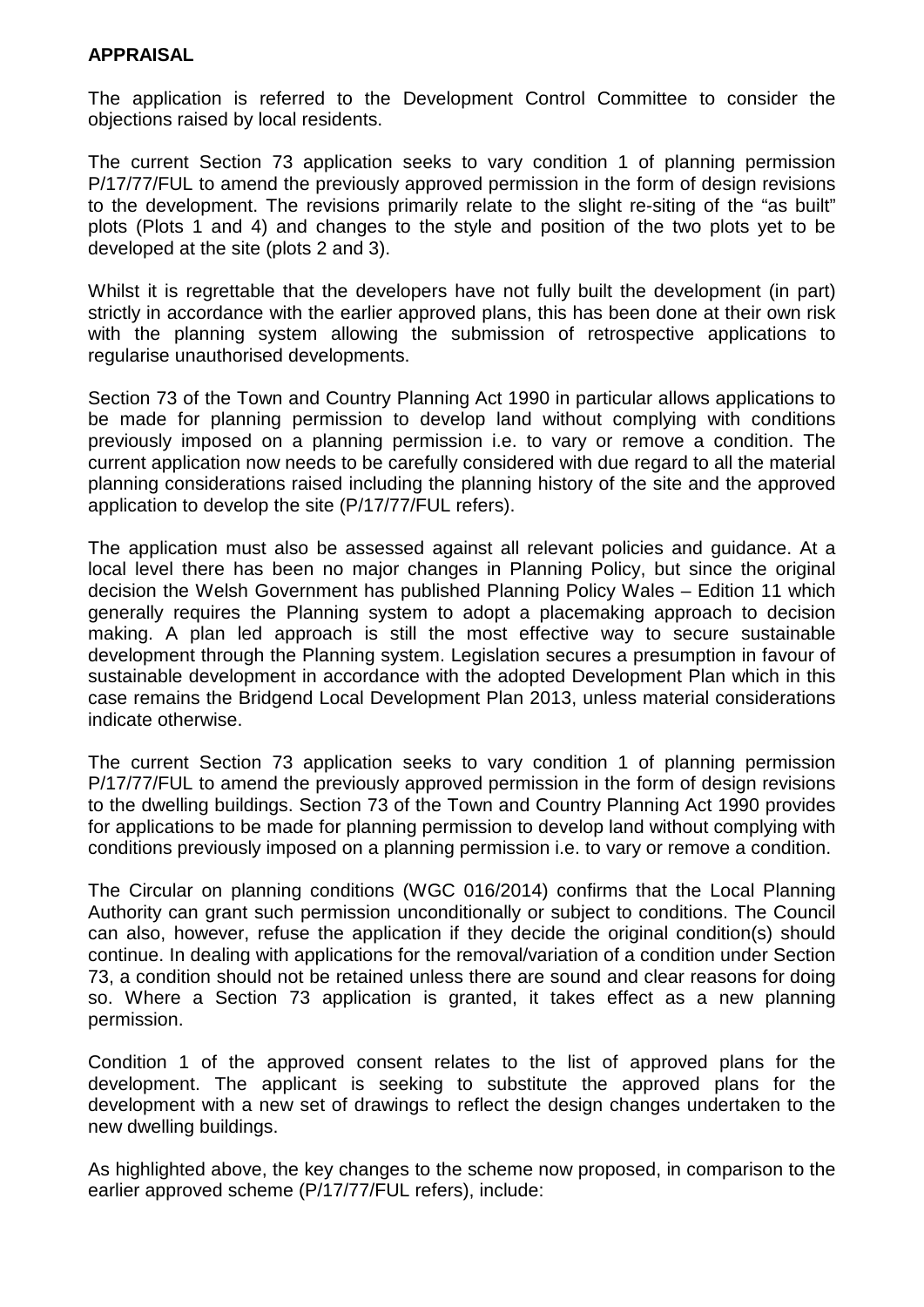### **APPRAISAL**

The application is referred to the Development Control Committee to consider the objections raised by local residents.

The current Section 73 application seeks to vary condition 1 of planning permission P/17/77/FUL to amend the previously approved permission in the form of design revisions to the development. The revisions primarily relate to the slight re-siting of the "as built" plots (Plots 1 and 4) and changes to the style and position of the two plots yet to be developed at the site (plots 2 and 3).

Whilst it is regrettable that the developers have not fully built the development (in part) strictly in accordance with the earlier approved plans, this has been done at their own risk with the planning system allowing the submission of retrospective applications to regularise unauthorised developments.

Section 73 of the Town and Country Planning Act 1990 in particular allows applications to be made for planning permission to develop land without complying with conditions previously imposed on a planning permission i.e. to vary or remove a condition. The current application now needs to be carefully considered with due regard to all the material planning considerations raised including the planning history of the site and the approved application to develop the site (P/17/77/FUL refers).

The application must also be assessed against all relevant policies and guidance. At a local level there has been no major changes in Planning Policy, but since the original decision the Welsh Government has published Planning Policy Wales – Edition 11 which generally requires the Planning system to adopt a placemaking approach to decision making. A plan led approach is still the most effective way to secure sustainable development through the Planning system. Legislation secures a presumption in favour of sustainable development in accordance with the adopted Development Plan which in this case remains the Bridgend Local Development Plan 2013, unless material considerations indicate otherwise.

The current Section 73 application seeks to vary condition 1 of planning permission P/17/77/FUL to amend the previously approved permission in the form of design revisions to the dwelling buildings. Section 73 of the Town and Country Planning Act 1990 provides for applications to be made for planning permission to develop land without complying with conditions previously imposed on a planning permission i.e. to vary or remove a condition.

The Circular on planning conditions (WGC 016/2014) confirms that the Local Planning Authority can grant such permission unconditionally or subject to conditions. The Council can also, however, refuse the application if they decide the original condition(s) should continue. In dealing with applications for the removal/variation of a condition under Section 73, a condition should not be retained unless there are sound and clear reasons for doing so. Where a Section 73 application is granted, it takes effect as a new planning permission.

Condition 1 of the approved consent relates to the list of approved plans for the development. The applicant is seeking to substitute the approved plans for the development with a new set of drawings to reflect the design changes undertaken to the new dwelling buildings.

As highlighted above, the key changes to the scheme now proposed, in comparison to the earlier approved scheme (P/17/77/FUL refers), include: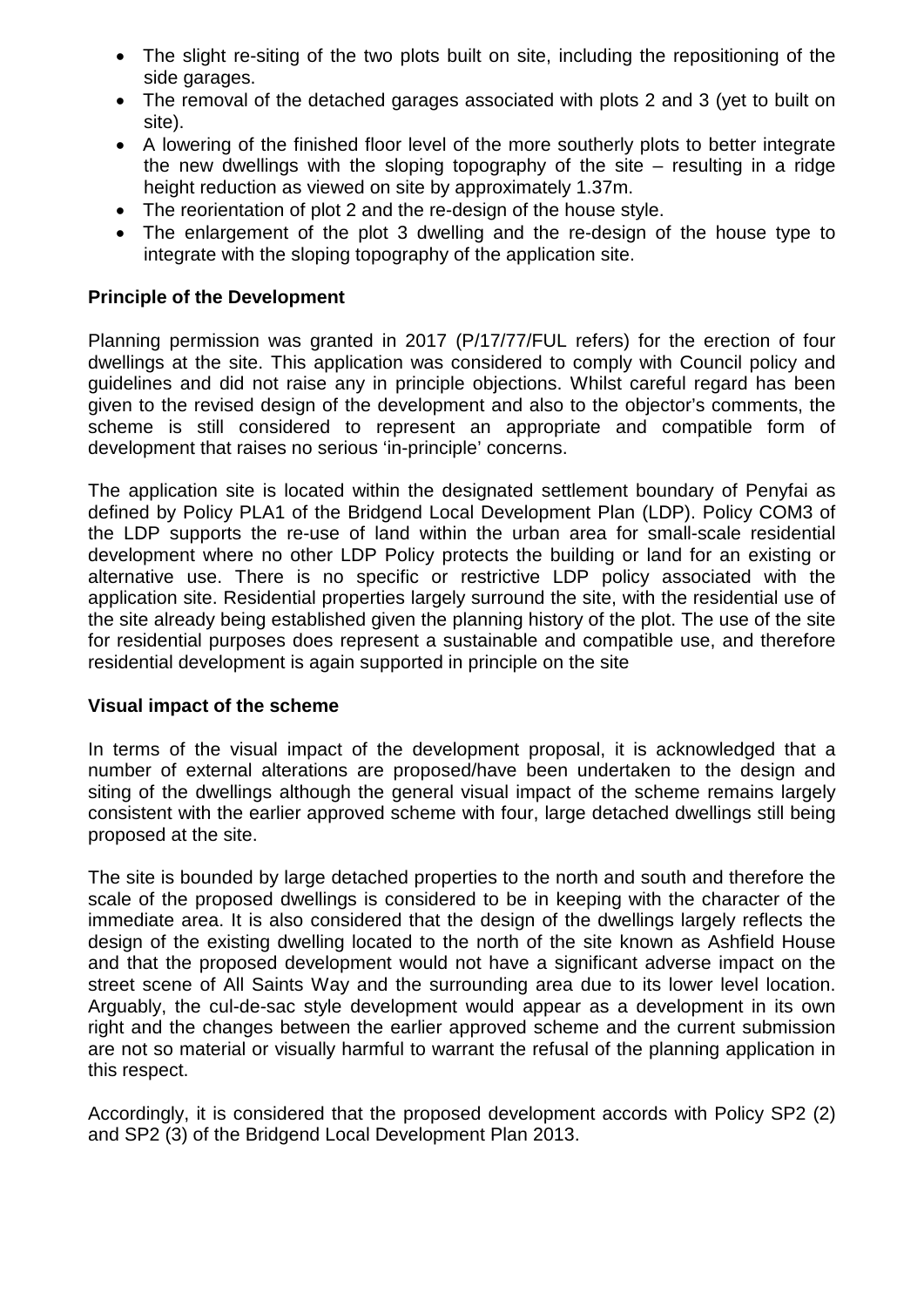- The slight re-siting of the two plots built on site, including the repositioning of the side garages.
- The removal of the detached garages associated with plots 2 and 3 (yet to built on site).
- A lowering of the finished floor level of the more southerly plots to better integrate the new dwellings with the sloping topography of the site – resulting in a ridge height reduction as viewed on site by approximately 1.37m.
- The reorientation of plot 2 and the re-design of the house style.
- The enlargement of the plot 3 dwelling and the re-design of the house type to integrate with the sloping topography of the application site.

## **Principle of the Development**

Planning permission was granted in 2017 (P/17/77/FUL refers) for the erection of four dwellings at the site. This application was considered to comply with Council policy and guidelines and did not raise any in principle objections. Whilst careful regard has been given to the revised design of the development and also to the objector's comments, the scheme is still considered to represent an appropriate and compatible form of development that raises no serious 'in-principle' concerns.

The application site is located within the designated settlement boundary of Penyfai as defined by Policy PLA1 of the Bridgend Local Development Plan (LDP). Policy COM3 of the LDP supports the re-use of land within the urban area for small-scale residential development where no other LDP Policy protects the building or land for an existing or alternative use. There is no specific or restrictive LDP policy associated with the application site. Residential properties largely surround the site, with the residential use of the site already being established given the planning history of the plot. The use of the site for residential purposes does represent a sustainable and compatible use, and therefore residential development is again supported in principle on the site

## **Visual impact of the scheme**

In terms of the visual impact of the development proposal, it is acknowledged that a number of external alterations are proposed/have been undertaken to the design and siting of the dwellings although the general visual impact of the scheme remains largely consistent with the earlier approved scheme with four, large detached dwellings still being proposed at the site.

The site is bounded by large detached properties to the north and south and therefore the scale of the proposed dwellings is considered to be in keeping with the character of the immediate area. It is also considered that the design of the dwellings largely reflects the design of the existing dwelling located to the north of the site known as Ashfield House and that the proposed development would not have a significant adverse impact on the street scene of All Saints Way and the surrounding area due to its lower level location. Arguably, the cul-de-sac style development would appear as a development in its own right and the changes between the earlier approved scheme and the current submission are not so material or visually harmful to warrant the refusal of the planning application in this respect.

Accordingly, it is considered that the proposed development accords with Policy SP2 (2) and SP2 (3) of the Bridgend Local Development Plan 2013.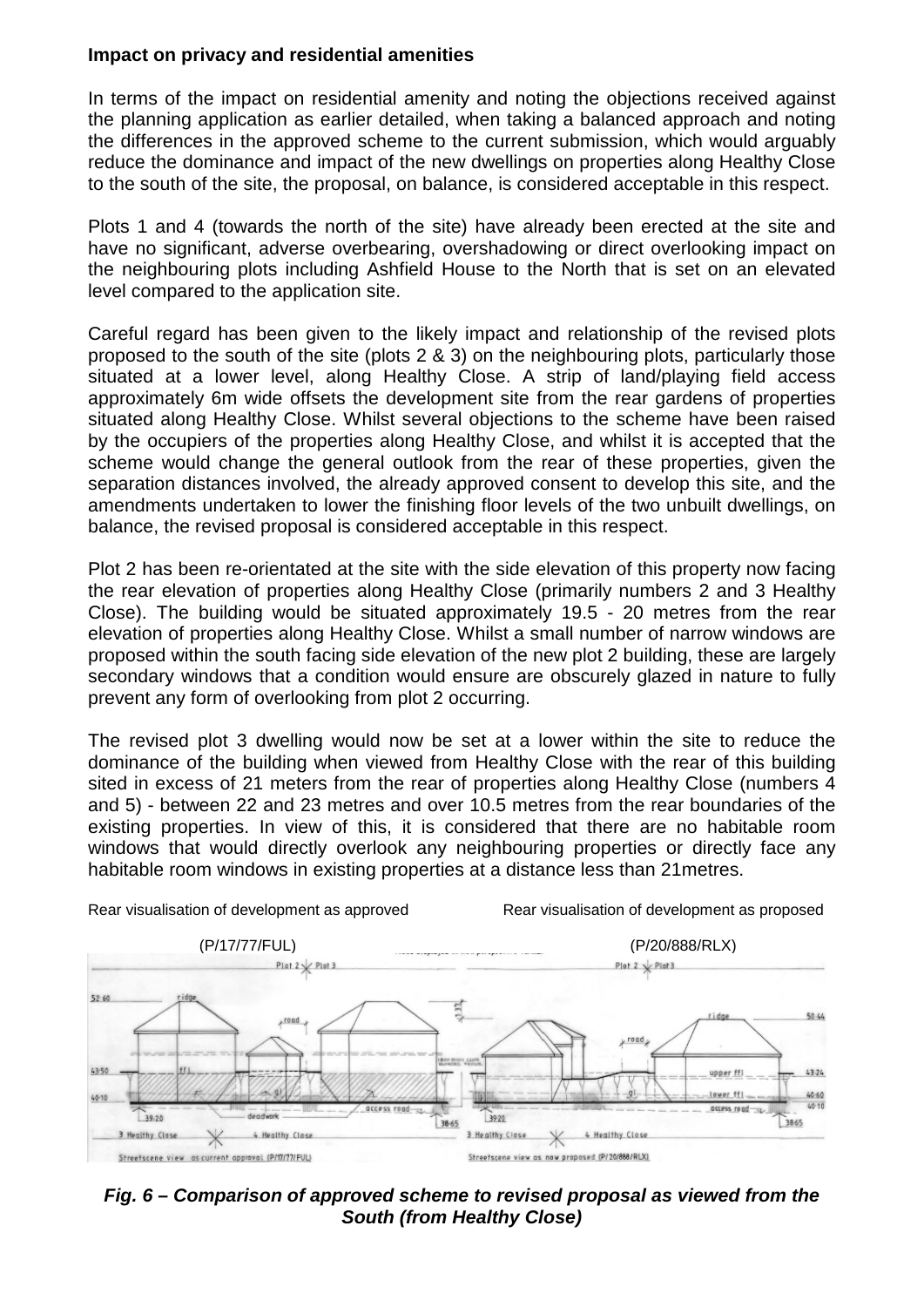### **Impact on privacy and residential amenities**

In terms of the impact on residential amenity and noting the objections received against the planning application as earlier detailed, when taking a balanced approach and noting the differences in the approved scheme to the current submission, which would arguably reduce the dominance and impact of the new dwellings on properties along Healthy Close to the south of the site, the proposal, on balance, is considered acceptable in this respect.

Plots 1 and 4 (towards the north of the site) have already been erected at the site and have no significant, adverse overbearing, overshadowing or direct overlooking impact on the neighbouring plots including Ashfield House to the North that is set on an elevated level compared to the application site.

Careful regard has been given to the likely impact and relationship of the revised plots proposed to the south of the site (plots 2 & 3) on the neighbouring plots, particularly those situated at a lower level, along Healthy Close. A strip of land/playing field access approximately 6m wide offsets the development site from the rear gardens of properties situated along Healthy Close. Whilst several objections to the scheme have been raised by the occupiers of the properties along Healthy Close, and whilst it is accepted that the scheme would change the general outlook from the rear of these properties, given the separation distances involved, the already approved consent to develop this site, and the amendments undertaken to lower the finishing floor levels of the two unbuilt dwellings, on balance, the revised proposal is considered acceptable in this respect.

Plot 2 has been re-orientated at the site with the side elevation of this property now facing the rear elevation of properties along Healthy Close (primarily numbers 2 and 3 Healthy Close). The building would be situated approximately 19.5 - 20 metres from the rear elevation of properties along Healthy Close. Whilst a small number of narrow windows are proposed within the south facing side elevation of the new plot 2 building, these are largely secondary windows that a condition would ensure are obscurely glazed in nature to fully prevent any form of overlooking from plot 2 occurring.

The revised plot 3 dwelling would now be set at a lower within the site to reduce the dominance of the building when viewed from Healthy Close with the rear of this building sited in excess of 21 meters from the rear of properties along Healthy Close (numbers 4 and 5) - between 22 and 23 metres and over 10.5 metres from the rear boundaries of the existing properties. In view of this, it is considered that there are no habitable room windows that would directly overlook any neighbouring properties or directly face any habitable room windows in existing properties at a distance less than 21metres.



*Fig. 6 – Comparison of approved scheme to revised proposal as viewed from the South (from Healthy Close)*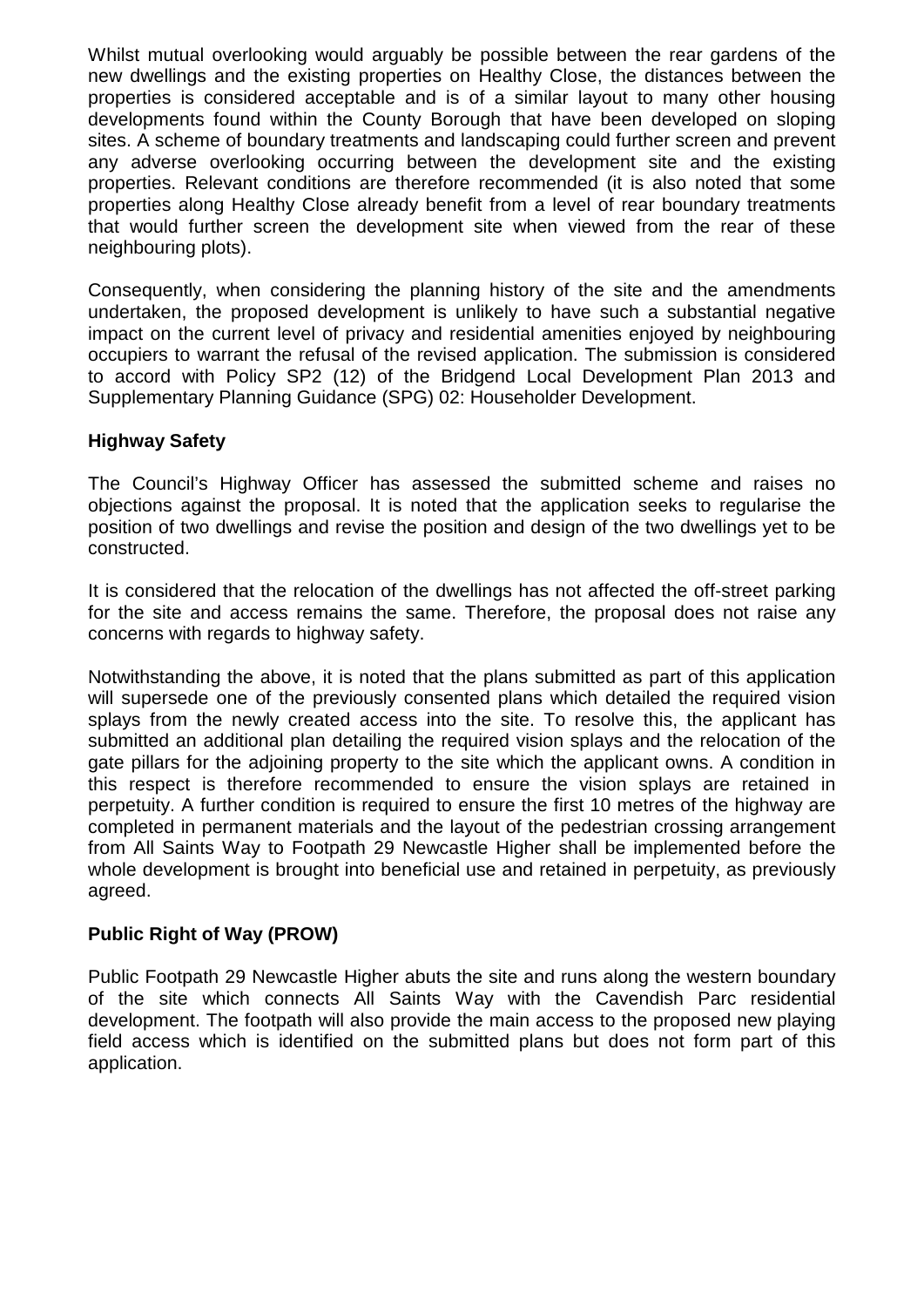Whilst mutual overlooking would arguably be possible between the rear gardens of the new dwellings and the existing properties on Healthy Close, the distances between the properties is considered acceptable and is of a similar layout to many other housing developments found within the County Borough that have been developed on sloping sites. A scheme of boundary treatments and landscaping could further screen and prevent any adverse overlooking occurring between the development site and the existing properties. Relevant conditions are therefore recommended (it is also noted that some properties along Healthy Close already benefit from a level of rear boundary treatments that would further screen the development site when viewed from the rear of these neighbouring plots).

Consequently, when considering the planning history of the site and the amendments undertaken, the proposed development is unlikely to have such a substantial negative impact on the current level of privacy and residential amenities enjoyed by neighbouring occupiers to warrant the refusal of the revised application. The submission is considered to accord with Policy SP2 (12) of the Bridgend Local Development Plan 2013 and Supplementary Planning Guidance (SPG) 02: Householder Development.

## **Highway Safety**

The Council's Highway Officer has assessed the submitted scheme and raises no objections against the proposal. It is noted that the application seeks to regularise the position of two dwellings and revise the position and design of the two dwellings yet to be constructed.

It is considered that the relocation of the dwellings has not affected the off-street parking for the site and access remains the same. Therefore, the proposal does not raise any concerns with regards to highway safety.

Notwithstanding the above, it is noted that the plans submitted as part of this application will supersede one of the previously consented plans which detailed the required vision splays from the newly created access into the site. To resolve this, the applicant has submitted an additional plan detailing the required vision splays and the relocation of the gate pillars for the adjoining property to the site which the applicant owns. A condition in this respect is therefore recommended to ensure the vision splays are retained in perpetuity. A further condition is required to ensure the first 10 metres of the highway are completed in permanent materials and the layout of the pedestrian crossing arrangement from All Saints Way to Footpath 29 Newcastle Higher shall be implemented before the whole development is brought into beneficial use and retained in perpetuity, as previously agreed.

## **Public Right of Way (PROW)**

Public Footpath 29 Newcastle Higher abuts the site and runs along the western boundary of the site which connects All Saints Way with the Cavendish Parc residential development. The footpath will also provide the main access to the proposed new playing field access which is identified on the submitted plans but does not form part of this application.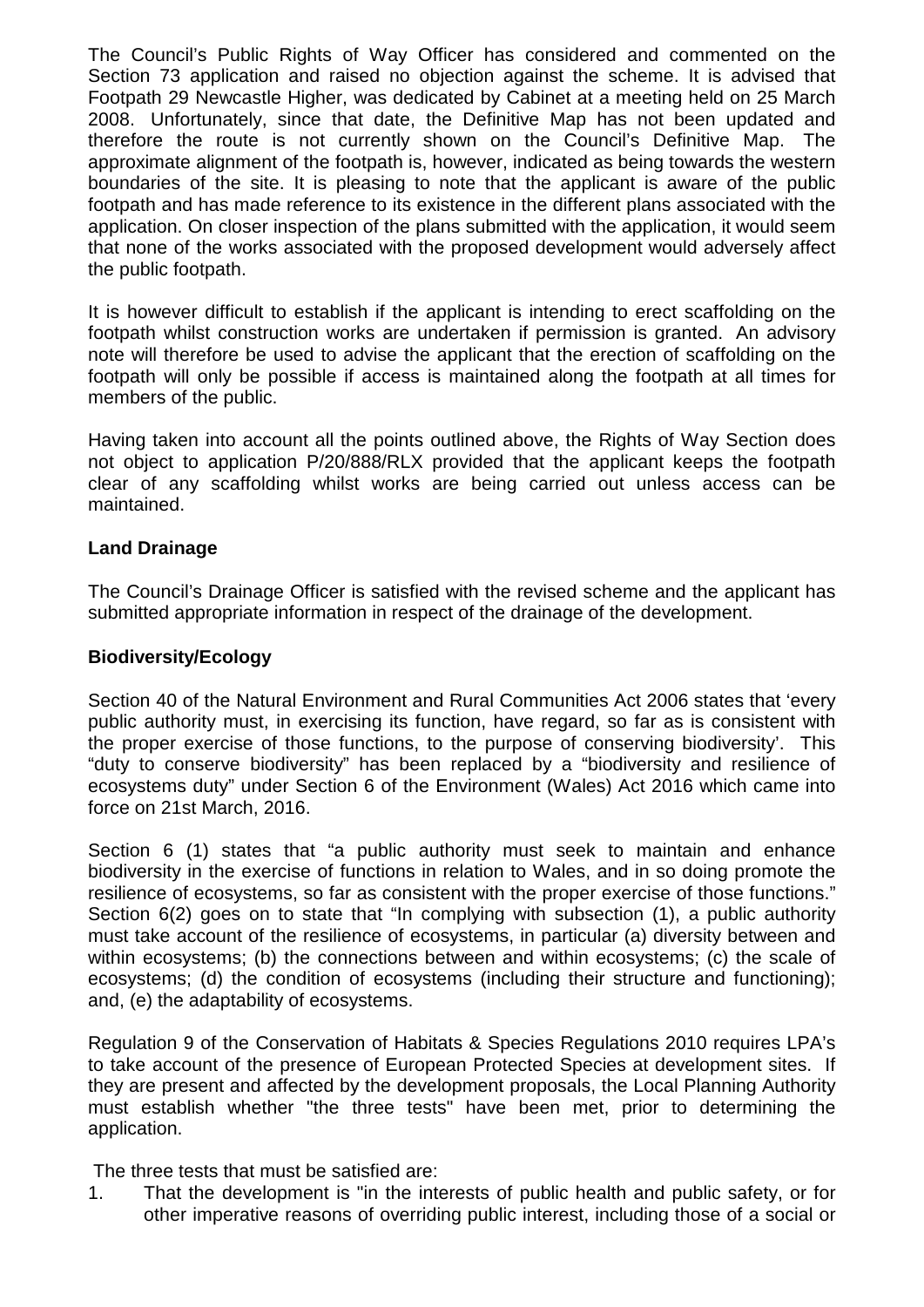The Council's Public Rights of Way Officer has considered and commented on the Section 73 application and raised no objection against the scheme. It is advised that Footpath 29 Newcastle Higher, was dedicated by Cabinet at a meeting held on 25 March 2008. Unfortunately, since that date, the Definitive Map has not been updated and therefore the route is not currently shown on the Council's Definitive Map. The approximate alignment of the footpath is, however, indicated as being towards the western boundaries of the site. It is pleasing to note that the applicant is aware of the public footpath and has made reference to its existence in the different plans associated with the application. On closer inspection of the plans submitted with the application, it would seem that none of the works associated with the proposed development would adversely affect the public footpath.

It is however difficult to establish if the applicant is intending to erect scaffolding on the footpath whilst construction works are undertaken if permission is granted. An advisory note will therefore be used to advise the applicant that the erection of scaffolding on the footpath will only be possible if access is maintained along the footpath at all times for members of the public.

Having taken into account all the points outlined above, the Rights of Way Section does not object to application P/20/888/RLX provided that the applicant keeps the footpath clear of any scaffolding whilst works are being carried out unless access can be maintained.

## **Land Drainage**

The Council's Drainage Officer is satisfied with the revised scheme and the applicant has submitted appropriate information in respect of the drainage of the development.

## **Biodiversity/Ecology**

Section 40 of the Natural Environment and Rural Communities Act 2006 states that 'every public authority must, in exercising its function, have regard, so far as is consistent with the proper exercise of those functions, to the purpose of conserving biodiversity'. This "duty to conserve biodiversity" has been replaced by a "biodiversity and resilience of ecosystems duty" under Section 6 of the Environment (Wales) Act 2016 which came into force on 21st March, 2016.

Section 6 (1) states that "a public authority must seek to maintain and enhance biodiversity in the exercise of functions in relation to Wales, and in so doing promote the resilience of ecosystems, so far as consistent with the proper exercise of those functions." Section 6(2) goes on to state that "In complying with subsection (1), a public authority must take account of the resilience of ecosystems, in particular (a) diversity between and within ecosystems; (b) the connections between and within ecosystems; (c) the scale of ecosystems; (d) the condition of ecosystems (including their structure and functioning); and, (e) the adaptability of ecosystems.

Regulation 9 of the Conservation of Habitats & Species Regulations 2010 requires LPA's to take account of the presence of European Protected Species at development sites. If they are present and affected by the development proposals, the Local Planning Authority must establish whether "the three tests" have been met, prior to determining the application.

The three tests that must be satisfied are:

1. That the development is "in the interests of public health and public safety, or for other imperative reasons of overriding public interest, including those of a social or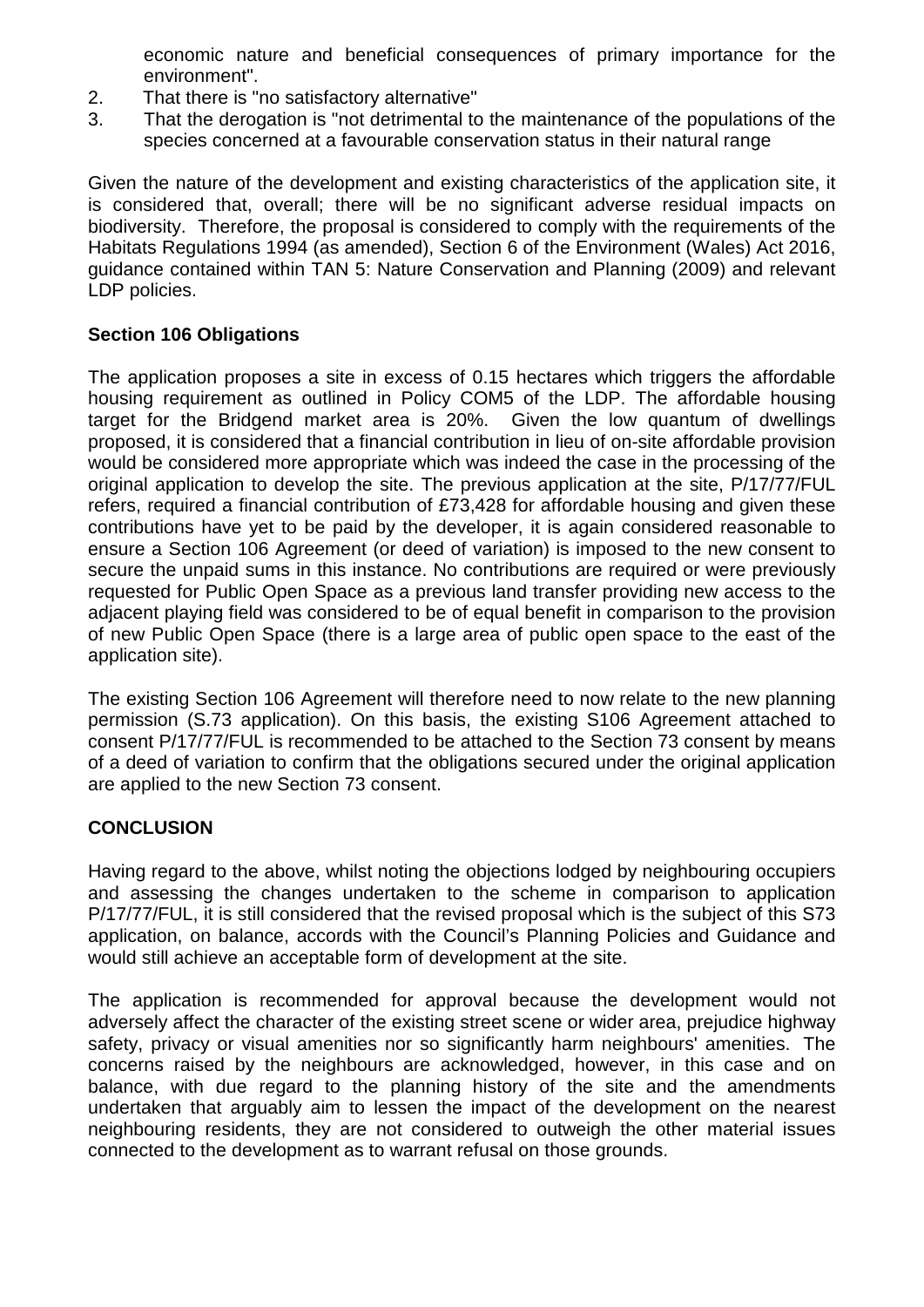economic nature and beneficial consequences of primary importance for the environment".

- 2. That there is "no satisfactory alternative"
- 3. That the derogation is "not detrimental to the maintenance of the populations of the species concerned at a favourable conservation status in their natural range

Given the nature of the development and existing characteristics of the application site, it is considered that, overall; there will be no significant adverse residual impacts on biodiversity. Therefore, the proposal is considered to comply with the requirements of the Habitats Regulations 1994 (as amended), Section 6 of the Environment (Wales) Act 2016, guidance contained within TAN 5: Nature Conservation and Planning (2009) and relevant LDP policies.

# **Section 106 Obligations**

The application proposes a site in excess of 0.15 hectares which triggers the affordable housing requirement as outlined in Policy COM5 of the LDP. The affordable housing target for the Bridgend market area is 20%. Given the low quantum of dwellings proposed, it is considered that a financial contribution in lieu of on-site affordable provision would be considered more appropriate which was indeed the case in the processing of the original application to develop the site. The previous application at the site, P/17/77/FUL refers, required a financial contribution of £73,428 for affordable housing and given these contributions have yet to be paid by the developer, it is again considered reasonable to ensure a Section 106 Agreement (or deed of variation) is imposed to the new consent to secure the unpaid sums in this instance. No contributions are required or were previously requested for Public Open Space as a previous land transfer providing new access to the adjacent playing field was considered to be of equal benefit in comparison to the provision of new Public Open Space (there is a large area of public open space to the east of the application site).

The existing Section 106 Agreement will therefore need to now relate to the new planning permission (S.73 application). On this basis, the existing S106 Agreement attached to consent P/17/77/FUL is recommended to be attached to the Section 73 consent by means of a deed of variation to confirm that the obligations secured under the original application are applied to the new Section 73 consent.

# **CONCLUSION**

Having regard to the above, whilst noting the objections lodged by neighbouring occupiers and assessing the changes undertaken to the scheme in comparison to application P/17/77/FUL, it is still considered that the revised proposal which is the subject of this S73 application, on balance, accords with the Council's Planning Policies and Guidance and would still achieve an acceptable form of development at the site.

The application is recommended for approval because the development would not adversely affect the character of the existing street scene or wider area, prejudice highway safety, privacy or visual amenities nor so significantly harm neighbours' amenities. The concerns raised by the neighbours are acknowledged, however, in this case and on balance, with due regard to the planning history of the site and the amendments undertaken that arguably aim to lessen the impact of the development on the nearest neighbouring residents, they are not considered to outweigh the other material issues connected to the development as to warrant refusal on those grounds.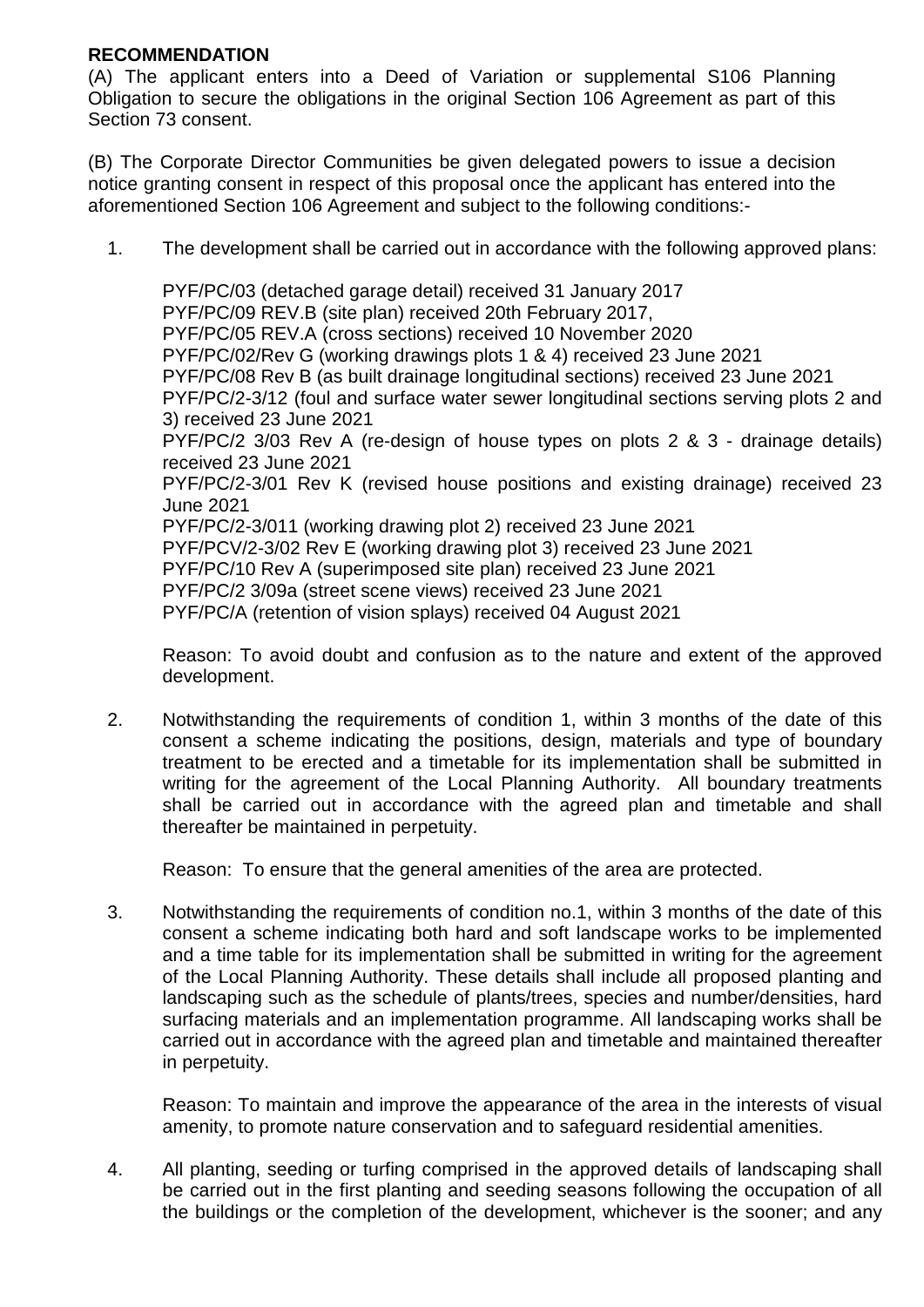## **RECOMMENDATION**

(A) The applicant enters into a Deed of Variation or supplemental S106 Planning Obligation to secure the obligations in the original Section 106 Agreement as part of this Section 73 consent.

(B) The Corporate Director Communities be given delegated powers to issue a decision notice granting consent in respect of this proposal once the applicant has entered into the aforementioned Section 106 Agreement and subject to the following conditions:-

1. The development shall be carried out in accordance with the following approved plans:

PYF/PC/03 (detached garage detail) received 31 January 2017 PYF/PC/09 REV.B (site plan) received 20th February 2017, PYF/PC/05 REV.A (cross sections) received 10 November 2020 PYF/PC/02/Rev G (working drawings plots 1 & 4) received 23 June 2021 PYF/PC/08 Rev B (as built drainage longitudinal sections) received 23 June 2021 PYF/PC/2-3/12 (foul and surface water sewer longitudinal sections serving plots 2 and 3) received 23 June 2021 PYF/PC/2 3/03 Rev A (re-design of house types on plots 2 & 3 - drainage details) received 23 June 2021 PYF/PC/2-3/01 Rev K (revised house positions and existing drainage) received 23 June 2021 PYF/PC/2-3/011 (working drawing plot 2) received 23 June 2021 PYF/PCV/2-3/02 Rev E (working drawing plot 3) received 23 June 2021 PYF/PC/10 Rev A (superimposed site plan) received 23 June 2021 PYF/PC/2 3/09a (street scene views) received 23 June 2021 PYF/PC/A (retention of vision splays) received 04 August 2021

Reason: To avoid doubt and confusion as to the nature and extent of the approved development.

2. Notwithstanding the requirements of condition 1, within 3 months of the date of this consent a scheme indicating the positions, design, materials and type of boundary treatment to be erected and a timetable for its implementation shall be submitted in writing for the agreement of the Local Planning Authority. All boundary treatments shall be carried out in accordance with the agreed plan and timetable and shall thereafter be maintained in perpetuity.

Reason: To ensure that the general amenities of the area are protected.

3. Notwithstanding the requirements of condition no.1, within 3 months of the date of this consent a scheme indicating both hard and soft landscape works to be implemented and a time table for its implementation shall be submitted in writing for the agreement of the Local Planning Authority. These details shall include all proposed planting and landscaping such as the schedule of plants/trees, species and number/densities, hard surfacing materials and an implementation programme. All landscaping works shall be carried out in accordance with the agreed plan and timetable and maintained thereafter in perpetuity.

Reason: To maintain and improve the appearance of the area in the interests of visual amenity, to promote nature conservation and to safeguard residential amenities.

4. All planting, seeding or turfing comprised in the approved details of landscaping shall be carried out in the first planting and seeding seasons following the occupation of all the buildings or the completion of the development, whichever is the sooner; and any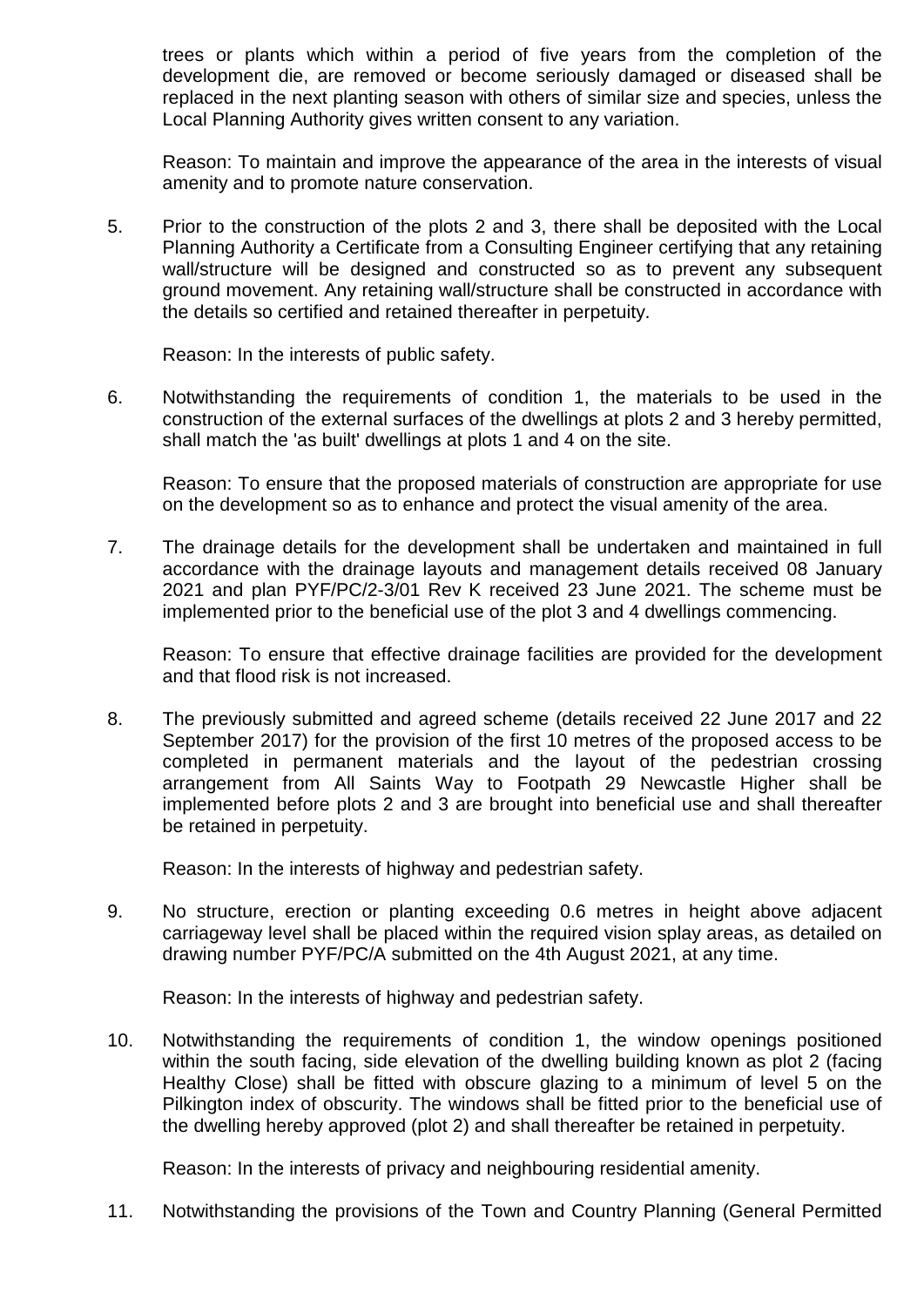trees or plants which within a period of five years from the completion of the development die, are removed or become seriously damaged or diseased shall be replaced in the next planting season with others of similar size and species, unless the Local Planning Authority gives written consent to any variation.

Reason: To maintain and improve the appearance of the area in the interests of visual amenity and to promote nature conservation.

5. Prior to the construction of the plots 2 and 3, there shall be deposited with the Local Planning Authority a Certificate from a Consulting Engineer certifying that any retaining wall/structure will be designed and constructed so as to prevent any subsequent ground movement. Any retaining wall/structure shall be constructed in accordance with the details so certified and retained thereafter in perpetuity.

Reason: In the interests of public safety.

6. Notwithstanding the requirements of condition 1, the materials to be used in the construction of the external surfaces of the dwellings at plots 2 and 3 hereby permitted, shall match the 'as built' dwellings at plots 1 and 4 on the site.

Reason: To ensure that the proposed materials of construction are appropriate for use on the development so as to enhance and protect the visual amenity of the area.

7. The drainage details for the development shall be undertaken and maintained in full accordance with the drainage layouts and management details received 08 January 2021 and plan PYF/PC/2-3/01 Rev K received 23 June 2021. The scheme must be implemented prior to the beneficial use of the plot 3 and 4 dwellings commencing.

Reason: To ensure that effective drainage facilities are provided for the development and that flood risk is not increased.

8. The previously submitted and agreed scheme (details received 22 June 2017 and 22 September 2017) for the provision of the first 10 metres of the proposed access to be completed in permanent materials and the layout of the pedestrian crossing arrangement from All Saints Way to Footpath 29 Newcastle Higher shall be implemented before plots 2 and 3 are brought into beneficial use and shall thereafter be retained in perpetuity.

Reason: In the interests of highway and pedestrian safety.

9. No structure, erection or planting exceeding 0.6 metres in height above adjacent carriageway level shall be placed within the required vision splay areas, as detailed on drawing number PYF/PC/A submitted on the 4th August 2021, at any time.

Reason: In the interests of highway and pedestrian safety.

10. Notwithstanding the requirements of condition 1, the window openings positioned within the south facing, side elevation of the dwelling building known as plot 2 (facing Healthy Close) shall be fitted with obscure glazing to a minimum of level 5 on the Pilkington index of obscurity. The windows shall be fitted prior to the beneficial use of the dwelling hereby approved (plot 2) and shall thereafter be retained in perpetuity.

Reason: In the interests of privacy and neighbouring residential amenity.

11. Notwithstanding the provisions of the Town and Country Planning (General Permitted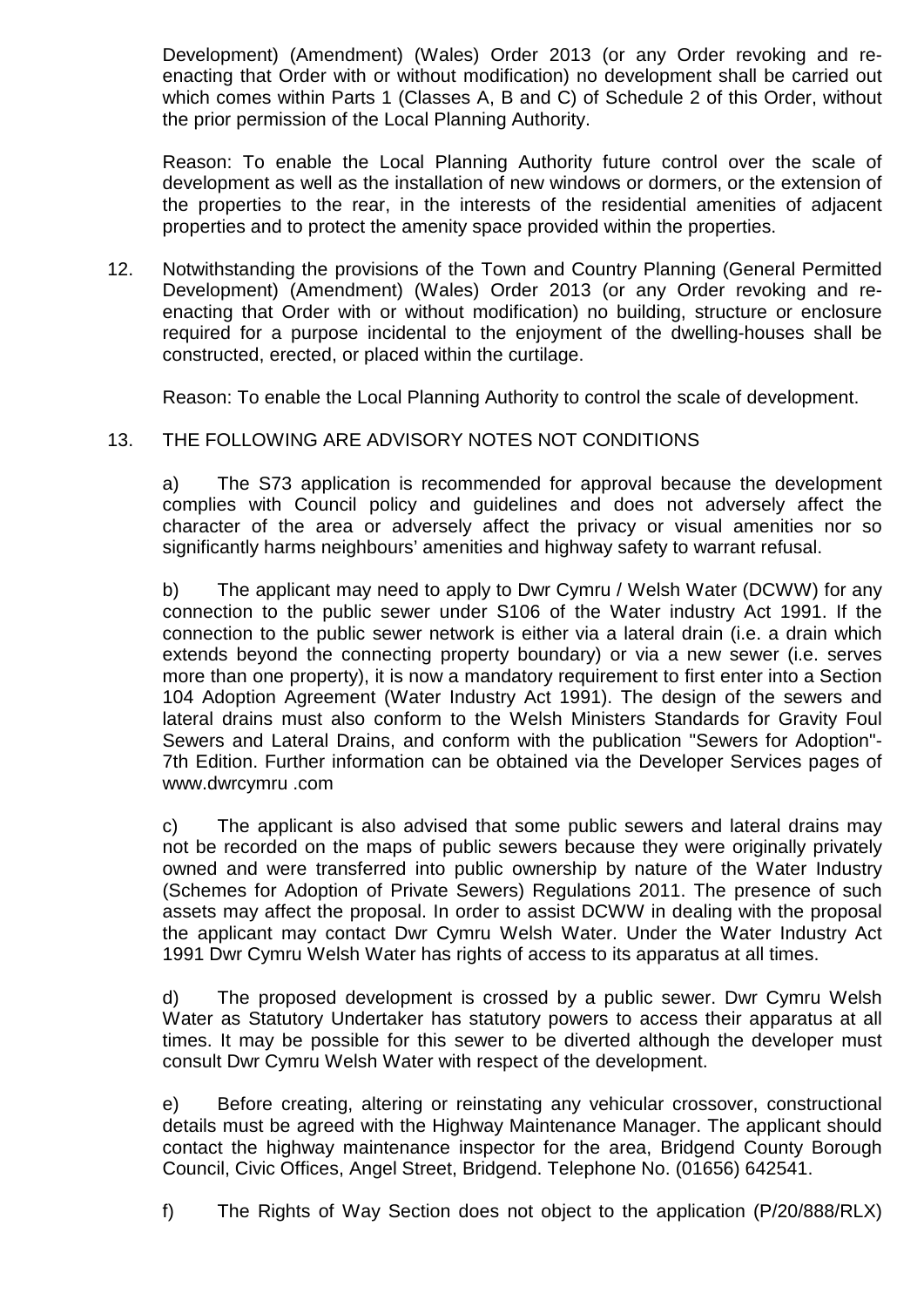Development) (Amendment) (Wales) Order 2013 (or any Order revoking and reenacting that Order with or without modification) no development shall be carried out which comes within Parts 1 (Classes A, B and C) of Schedule 2 of this Order, without the prior permission of the Local Planning Authority.

Reason: To enable the Local Planning Authority future control over the scale of development as well as the installation of new windows or dormers, or the extension of the properties to the rear, in the interests of the residential amenities of adjacent properties and to protect the amenity space provided within the properties.

12. Notwithstanding the provisions of the Town and Country Planning (General Permitted Development) (Amendment) (Wales) Order 2013 (or any Order revoking and reenacting that Order with or without modification) no building, structure or enclosure required for a purpose incidental to the enjoyment of the dwelling-houses shall be constructed, erected, or placed within the curtilage.

Reason: To enable the Local Planning Authority to control the scale of development.

# 13. THE FOLLOWING ARE ADVISORY NOTES NOT CONDITIONS

a) The S73 application is recommended for approval because the development complies with Council policy and guidelines and does not adversely affect the character of the area or adversely affect the privacy or visual amenities nor so significantly harms neighbours' amenities and highway safety to warrant refusal.

b) The applicant may need to apply to Dwr Cymru / Welsh Water (DCWW) for any connection to the public sewer under S106 of the Water industry Act 1991. If the connection to the public sewer network is either via a lateral drain (i.e. a drain which extends beyond the connecting property boundary) or via a new sewer (i.e. serves more than one property), it is now a mandatory requirement to first enter into a Section 104 Adoption Agreement (Water Industry Act 1991). The design of the sewers and lateral drains must also conform to the Welsh Ministers Standards for Gravity Foul Sewers and Lateral Drains, and conform with the publication "Sewers for Adoption"- 7th Edition. Further information can be obtained via the Developer Services pages of www.dwrcymru .com

c) The applicant is also advised that some public sewers and lateral drains may not be recorded on the maps of public sewers because they were originally privately owned and were transferred into public ownership by nature of the Water Industry (Schemes for Adoption of Private Sewers) Regulations 2011. The presence of such assets may affect the proposal. In order to assist DCWW in dealing with the proposal the applicant may contact Dwr Cymru Welsh Water. Under the Water Industry Act 1991 Dwr Cymru Welsh Water has rights of access to its apparatus at all times.

d) The proposed development is crossed by a public sewer. Dwr Cymru Welsh Water as Statutory Undertaker has statutory powers to access their apparatus at all times. It may be possible for this sewer to be diverted although the developer must consult Dwr Cymru Welsh Water with respect of the development.

e) Before creating, altering or reinstating any vehicular crossover, constructional details must be agreed with the Highway Maintenance Manager. The applicant should contact the highway maintenance inspector for the area, Bridgend County Borough Council, Civic Offices, Angel Street, Bridgend. Telephone No. (01656) 642541.

f) The Rights of Way Section does not object to the application (P/20/888/RLX)